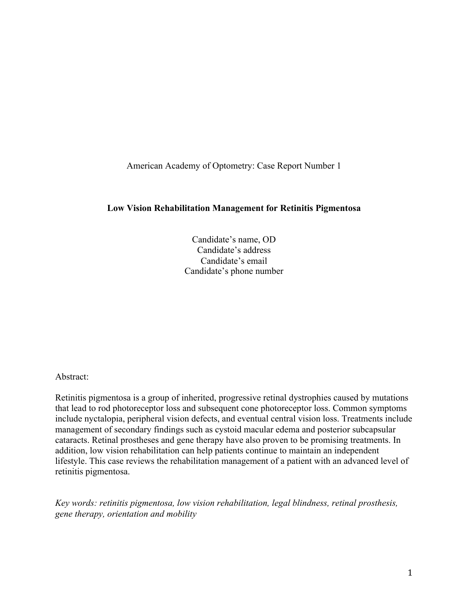American Academy of Optometry: Case Report Number 1

#### **Low Vision Rehabilitation Management for Retinitis Pigmentosa**

Candidate's name, OD Candidate's address Candidate's email Candidate's phone number

Abstract:

Retinitis pigmentosa is a group of inherited, progressive retinal dystrophies caused by mutations that lead to rod photoreceptor loss and subsequent cone photoreceptor loss. Common symptoms include nyctalopia, peripheral vision defects, and eventual central vision loss. Treatments include management of secondary findings such as cystoid macular edema and posterior subcapsular cataracts. Retinal prostheses and gene therapy have also proven to be promising treatments. In addition, low vision rehabilitation can help patients continue to maintain an independent lifestyle. This case reviews the rehabilitation management of a patient with an advanced level of retinitis pigmentosa.

*Key words: retinitis pigmentosa, low vision rehabilitation, legal blindness, retinal prosthesis, gene therapy, orientation and mobility*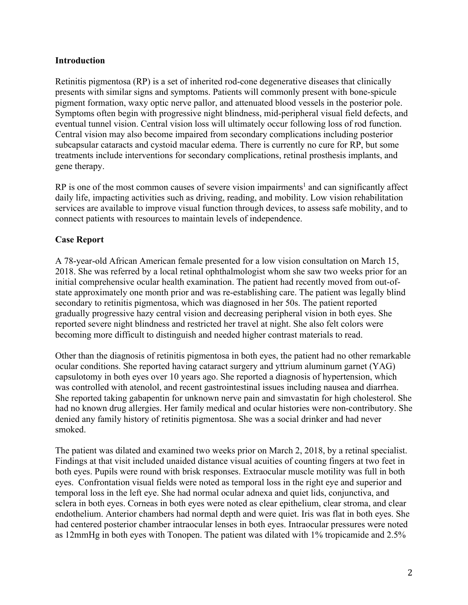### **Introduction**

Retinitis pigmentosa (RP) is a set of inherited rod-cone degenerative diseases that clinically presents with similar signs and symptoms. Patients will commonly present with bone-spicule pigment formation, waxy optic nerve pallor, and attenuated blood vessels in the posterior pole. Symptoms often begin with progressive night blindness, mid-peripheral visual field defects, and eventual tunnel vision. Central vision loss will ultimately occur following loss of rod function. Central vision may also become impaired from secondary complications including posterior subcapsular cataracts and cystoid macular edema. There is currently no cure for RP, but some treatments include interventions for secondary complications, retinal prosthesis implants, and gene therapy.

 $RP$  is one of the most common causes of severe vision impairments<sup>1</sup> and can significantly affect daily life, impacting activities such as driving, reading, and mobility. Low vision rehabilitation services are available to improve visual function through devices, to assess safe mobility, and to connect patients with resources to maintain levels of independence.

## **Case Report**

A 78-year-old African American female presented for a low vision consultation on March 15, 2018. She was referred by a local retinal ophthalmologist whom she saw two weeks prior for an initial comprehensive ocular health examination. The patient had recently moved from out-ofstate approximately one month prior and was re-establishing care. The patient was legally blind secondary to retinitis pigmentosa, which was diagnosed in her 50s. The patient reported gradually progressive hazy central vision and decreasing peripheral vision in both eyes. She reported severe night blindness and restricted her travel at night. She also felt colors were becoming more difficult to distinguish and needed higher contrast materials to read.

Other than the diagnosis of retinitis pigmentosa in both eyes, the patient had no other remarkable ocular conditions. She reported having cataract surgery and yttrium aluminum garnet (YAG) capsulotomy in both eyes over 10 years ago. She reported a diagnosis of hypertension, which was controlled with atenolol, and recent gastrointestinal issues including nausea and diarrhea. She reported taking gabapentin for unknown nerve pain and simvastatin for high cholesterol. She had no known drug allergies. Her family medical and ocular histories were non-contributory. She denied any family history of retinitis pigmentosa. She was a social drinker and had never smoked.

The patient was dilated and examined two weeks prior on March 2, 2018, by a retinal specialist. Findings at that visit included unaided distance visual acuities of counting fingers at two feet in both eyes. Pupils were round with brisk responses. Extraocular muscle motility was full in both eyes. Confrontation visual fields were noted as temporal loss in the right eye and superior and temporal loss in the left eye. She had normal ocular adnexa and quiet lids, conjunctiva, and sclera in both eyes. Corneas in both eyes were noted as clear epithelium, clear stroma, and clear endothelium. Anterior chambers had normal depth and were quiet. Iris was flat in both eyes. She had centered posterior chamber intraocular lenses in both eyes. Intraocular pressures were noted as 12mmHg in both eyes with Tonopen. The patient was dilated with 1% tropicamide and 2.5%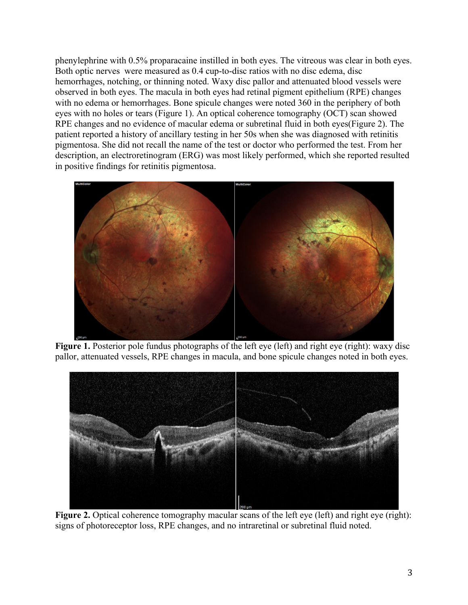phenylephrine with 0.5% proparacaine instilled in both eyes. The vitreous was clear in both eyes. Both optic nerves were measured as 0.4 cup-to-disc ratios with no disc edema, disc hemorrhages, notching, or thinning noted. Waxy disc pallor and attenuated blood vessels were observed in both eyes. The macula in both eyes had retinal pigment epithelium (RPE) changes with no edema or hemorrhages. Bone spicule changes were noted 360 in the periphery of both eyes with no holes or tears (Figure 1). An optical coherence tomography (OCT) scan showed RPE changes and no evidence of macular edema or subretinal fluid in both eyes(Figure 2). The patient reported a history of ancillary testing in her 50s when she was diagnosed with retinitis pigmentosa. She did not recall the name of the test or doctor who performed the test. From her description, an electroretinogram (ERG) was most likely performed, which she reported resulted in positive findings for retinitis pigmentosa.



Figure 1. Posterior pole fundus photographs of the left eye (left) and right eye (right): waxy disc pallor, attenuated vessels, RPE changes in macula, and bone spicule changes noted in both eyes.



Figure 2. Optical coherence tomography macular scans of the left eye (left) and right eye (right): signs of photoreceptor loss, RPE changes, and no intraretinal or subretinal fluid noted.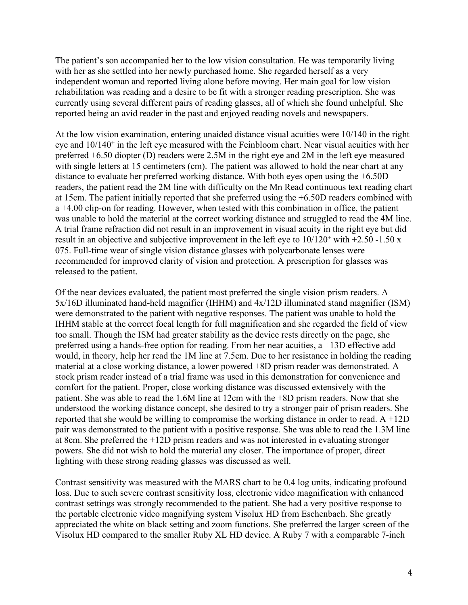The patient's son accompanied her to the low vision consultation. He was temporarily living with her as she settled into her newly purchased home. She regarded herself as a very independent woman and reported living alone before moving. Her main goal for low vision rehabilitation was reading and a desire to be fit with a stronger reading prescription. She was currently using several different pairs of reading glasses, all of which she found unhelpful. She reported being an avid reader in the past and enjoyed reading novels and newspapers.

At the low vision examination, entering unaided distance visual acuities were 10/140 in the right eye and 10/140<sup>+</sup> in the left eye measured with the Feinbloom chart. Near visual acuities with her preferred +6.50 diopter (D) readers were 2.5M in the right eye and 2M in the left eye measured with single letters at 15 centimeters (cm). The patient was allowed to hold the near chart at any distance to evaluate her preferred working distance. With both eyes open using the +6.50D readers, the patient read the 2M line with difficulty on the Mn Read continuous text reading chart at 15cm. The patient initially reported that she preferred using the +6.50D readers combined with a +4.00 clip-on for reading. However, when tested with this combination in office, the patient was unable to hold the material at the correct working distance and struggled to read the 4M line. A trial frame refraction did not result in an improvement in visual acuity in the right eye but did result in an objective and subjective improvement in the left eye to  $10/120^+$  with  $+2.50$  -1.50 x 075. Full-time wear of single vision distance glasses with polycarbonate lenses were recommended for improved clarity of vision and protection. A prescription for glasses was released to the patient.

Of the near devices evaluated, the patient most preferred the single vision prism readers. A 5x/16D illuminated hand-held magnifier (IHHM) and 4x/12D illuminated stand magnifier (ISM) were demonstrated to the patient with negative responses. The patient was unable to hold the IHHM stable at the correct focal length for full magnification and she regarded the field of view too small. Though the ISM had greater stability as the device rests directly on the page, she preferred using a hands-free option for reading. From her near acuities, a +13D effective add would, in theory, help her read the 1M line at 7.5cm. Due to her resistance in holding the reading material at a close working distance, a lower powered +8D prism reader was demonstrated. A stock prism reader instead of a trial frame was used in this demonstration for convenience and comfort for the patient. Proper, close working distance was discussed extensively with the patient. She was able to read the 1.6M line at 12cm with the +8D prism readers. Now that she understood the working distance concept, she desired to try a stronger pair of prism readers. She reported that she would be willing to compromise the working distance in order to read. A +12D pair was demonstrated to the patient with a positive response. She was able to read the 1.3M line at 8cm. She preferred the +12D prism readers and was not interested in evaluating stronger powers. She did not wish to hold the material any closer. The importance of proper, direct lighting with these strong reading glasses was discussed as well.

Contrast sensitivity was measured with the MARS chart to be 0.4 log units, indicating profound loss. Due to such severe contrast sensitivity loss, electronic video magnification with enhanced contrast settings was strongly recommended to the patient. She had a very positive response to the portable electronic video magnifying system Visolux HD from Eschenbach. She greatly appreciated the white on black setting and zoom functions. She preferred the larger screen of the Visolux HD compared to the smaller Ruby XL HD device. A Ruby 7 with a comparable 7-inch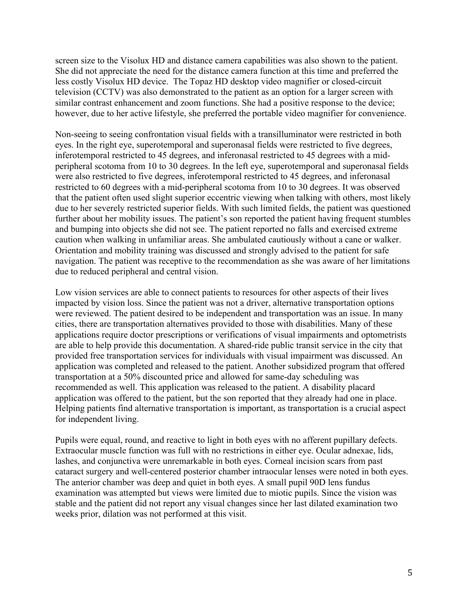screen size to the Visolux HD and distance camera capabilities was also shown to the patient. She did not appreciate the need for the distance camera function at this time and preferred the less costly Visolux HD device. The Topaz HD desktop video magnifier or closed-circuit television (CCTV) was also demonstrated to the patient as an option for a larger screen with similar contrast enhancement and zoom functions. She had a positive response to the device; however, due to her active lifestyle, she preferred the portable video magnifier for convenience.

Non-seeing to seeing confrontation visual fields with a transilluminator were restricted in both eyes. In the right eye, superotemporal and superonasal fields were restricted to five degrees, inferotemporal restricted to 45 degrees, and inferonasal restricted to 45 degrees with a midperipheral scotoma from 10 to 30 degrees. In the left eye, superotemporal and superonasal fields were also restricted to five degrees, inferotemporal restricted to 45 degrees, and inferonasal restricted to 60 degrees with a mid-peripheral scotoma from 10 to 30 degrees. It was observed that the patient often used slight superior eccentric viewing when talking with others, most likely due to her severely restricted superior fields. With such limited fields, the patient was questioned further about her mobility issues. The patient's son reported the patient having frequent stumbles and bumping into objects she did not see. The patient reported no falls and exercised extreme caution when walking in unfamiliar areas. She ambulated cautiously without a cane or walker. Orientation and mobility training was discussed and strongly advised to the patient for safe navigation. The patient was receptive to the recommendation as she was aware of her limitations due to reduced peripheral and central vision.

Low vision services are able to connect patients to resources for other aspects of their lives impacted by vision loss. Since the patient was not a driver, alternative transportation options were reviewed. The patient desired to be independent and transportation was an issue. In many cities, there are transportation alternatives provided to those with disabilities. Many of these applications require doctor prescriptions or verifications of visual impairments and optometrists are able to help provide this documentation. A shared-ride public transit service in the city that provided free transportation services for individuals with visual impairment was discussed. An application was completed and released to the patient. Another subsidized program that offered transportation at a 50% discounted price and allowed for same-day scheduling was recommended as well. This application was released to the patient. A disability placard application was offered to the patient, but the son reported that they already had one in place. Helping patients find alternative transportation is important, as transportation is a crucial aspect for independent living.

Pupils were equal, round, and reactive to light in both eyes with no afferent pupillary defects. Extraocular muscle function was full with no restrictions in either eye. Ocular adnexae, lids, lashes, and conjunctiva were unremarkable in both eyes. Corneal incision scars from past cataract surgery and well-centered posterior chamber intraocular lenses were noted in both eyes. The anterior chamber was deep and quiet in both eyes. A small pupil 90D lens fundus examination was attempted but views were limited due to miotic pupils. Since the vision was stable and the patient did not report any visual changes since her last dilated examination two weeks prior, dilation was not performed at this visit.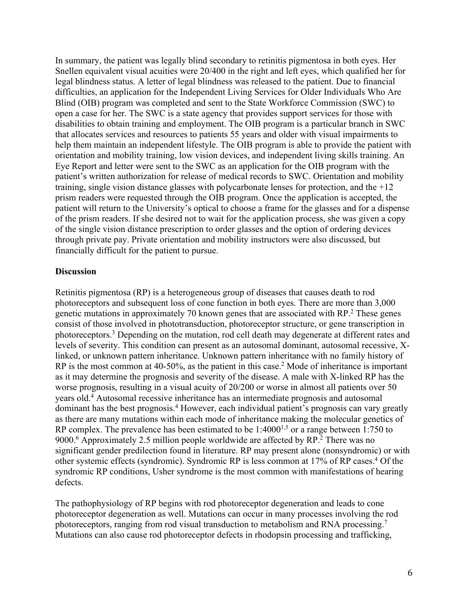In summary, the patient was legally blind secondary to retinitis pigmentosa in both eyes. Her Snellen equivalent visual acuities were 20/400 in the right and left eyes, which qualified her for legal blindness status. A letter of legal blindness was released to the patient. Due to financial difficulties, an application for the Independent Living Services for Older Individuals Who Are Blind (OIB) program was completed and sent to the State Workforce Commission (SWC) to open a case for her. The SWC is a state agency that provides support services for those with disabilities to obtain training and employment. The OIB program is a particular branch in SWC that allocates services and resources to patients 55 years and older with visual impairments to help them maintain an independent lifestyle. The OIB program is able to provide the patient with orientation and mobility training, low vision devices, and independent living skills training. An Eye Report and letter were sent to the SWC as an application for the OIB program with the patient's written authorization for release of medical records to SWC. Orientation and mobility training, single vision distance glasses with polycarbonate lenses for protection, and the +12 prism readers were requested through the OIB program. Once the application is accepted, the patient will return to the University's optical to choose a frame for the glasses and for a dispense of the prism readers. If she desired not to wait for the application process, she was given a copy of the single vision distance prescription to order glasses and the option of ordering devices through private pay. Private orientation and mobility instructors were also discussed, but financially difficult for the patient to pursue.

#### **Discussion**

Retinitis pigmentosa (RP) is a heterogeneous group of diseases that causes death to rod photoreceptors and subsequent loss of cone function in both eyes. There are more than 3,000 genetic mutations in approximately 70 known genes that are associated with RP.2 These genes consist of those involved in phototransduction, photoreceptor structure, or gene transcription in photoreceptors.3 Depending on the mutation, rod cell death may degenerate at different rates and levels of severity. This condition can present as an autosomal dominant, autosomal recessive, Xlinked, or unknown pattern inheritance. Unknown pattern inheritance with no family history of RP is the most common at 40-50%, as the patient in this case.<sup>2</sup> Mode of inheritance is important as it may determine the prognosis and severity of the disease. A male with X-linked RP has the worse prognosis, resulting in a visual acuity of 20/200 or worse in almost all patients over 50 years old.4 Autosomal recessive inheritance has an intermediate prognosis and autosomal dominant has the best prognosis.<sup>4</sup> However, each individual patient's prognosis can vary greatly as there are many mutations within each mode of inheritance making the molecular genetics of RP complex. The prevalence has been estimated to be  $1:4000^{1.5}$  or a range between 1:750 to 9000.<sup>6</sup> Approximately 2.5 million people worldwide are affected by  $RP^2$ . There was no significant gender predilection found in literature. RP may present alone (nonsyndromic) or with other systemic effects (syndromic). Syndromic RP is less common at 17% of RP cases.4 Of the syndromic RP conditions, Usher syndrome is the most common with manifestations of hearing defects.

The pathophysiology of RP begins with rod photoreceptor degeneration and leads to cone photoreceptor degeneration as well. Mutations can occur in many processes involving the rod photoreceptors, ranging from rod visual transduction to metabolism and RNA processing.7 Mutations can also cause rod photoreceptor defects in rhodopsin processing and trafficking,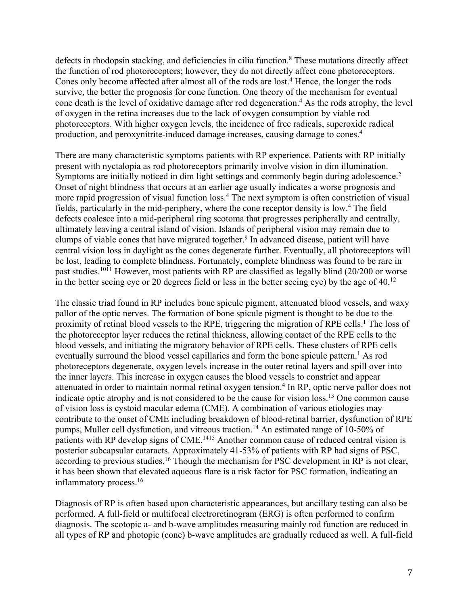defects in rhodopsin stacking, and deficiencies in cilia function. <sup>8</sup> These mutations directly affect the function of rod photoreceptors; however, they do not directly affect cone photoreceptors. Cones only become affected after almost all of the rods are lost. <sup>4</sup> Hence, the longer the rods survive, the better the prognosis for cone function. One theory of the mechanism for eventual cone death is the level of oxidative damage after rod degeneration. <sup>4</sup> As the rods atrophy, the level of oxygen in the retina increases due to the lack of oxygen consumption by viable rod photoreceptors. With higher oxygen levels, the incidence of free radicals, superoxide radical production, and peroxynitrite-induced damage increases, causing damage to cones. 4

There are many characteristic symptoms patients with RP experience. Patients with RP initially present with nyctalopia as rod photoreceptors primarily involve vision in dim illumination. Symptoms are initially noticed in dim light settings and commonly begin during adolescence.<sup>2</sup> Onset of night blindness that occurs at an earlier age usually indicates a worse prognosis and more rapid progression of visual function loss.4 The next symptom is often constriction of visual fields, particularly in the mid-periphery, where the cone receptor density is low.4 The field defects coalesce into a mid-peripheral ring scotoma that progresses peripherally and centrally, ultimately leaving a central island of vision. Islands of peripheral vision may remain due to clumps of viable cones that have migrated together.<sup>9</sup> In advanced disease, patient will have central vision loss in daylight as the cones degenerate further. Eventually, all photoreceptors will be lost, leading to complete blindness. Fortunately, complete blindness was found to be rare in past studies.1011 However, most patients with RP are classified as legally blind (20/200 or worse in the better seeing eye or 20 degrees field or less in the better seeing eye) by the age of  $40<sup>12</sup>$ 

The classic triad found in RP includes bone spicule pigment, attenuated blood vessels, and waxy pallor of the optic nerves. The formation of bone spicule pigment is thought to be due to the proximity of retinal blood vessels to the RPE, triggering the migration of RPE cells.<sup>1</sup> The loss of the photoreceptor layer reduces the retinal thickness, allowing contact of the RPE cells to the blood vessels, and initiating the migratory behavior of RPE cells. These clusters of RPE cells eventually surround the blood vessel capillaries and form the bone spicule pattern.<sup>1</sup> As rod photoreceptors degenerate, oxygen levels increase in the outer retinal layers and spill over into the inner layers. This increase in oxygen causes the blood vessels to constrict and appear attenuated in order to maintain normal retinal oxygen tension.<sup>4</sup> In RP, optic nerve pallor does not indicate optic atrophy and is not considered to be the cause for vision loss.13 One common cause of vision loss is cystoid macular edema (CME). A combination of various etiologies may contribute to the onset of CME including breakdown of blood-retinal barrier, dysfunction of RPE pumps, Muller cell dysfunction, and vitreous traction.14 An estimated range of 10-50% of patients with RP develop signs of CME.<sup>1415</sup> Another common cause of reduced central vision is posterior subcapsular cataracts. Approximately 41-53% of patients with RP had signs of PSC, according to previous studies.<sup>16</sup> Though the mechanism for PSC development in RP is not clear, it has been shown that elevated aqueous flare is a risk factor for PSC formation, indicating an inflammatory process.<sup>16</sup>

Diagnosis of RP is often based upon characteristic appearances, but ancillary testing can also be performed. A full-field or multifocal electroretinogram (ERG) is often performed to confirm diagnosis. The scotopic a- and b-wave amplitudes measuring mainly rod function are reduced in all types of RP and photopic (cone) b-wave amplitudes are gradually reduced as well. A full-field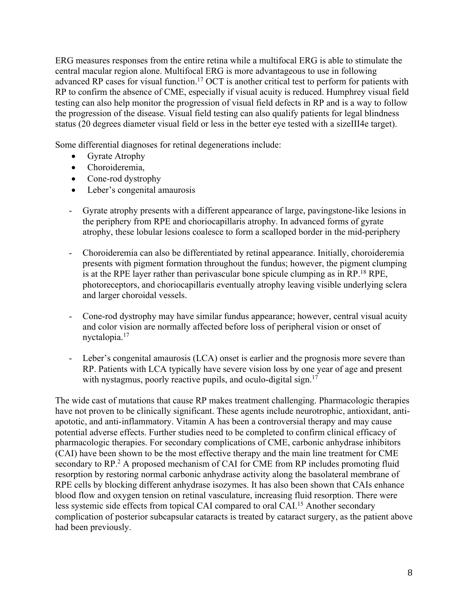ERG measures responses from the entire retina while a multifocal ERG is able to stimulate the central macular region alone. Multifocal ERG is more advantageous to use in following advanced RP cases for visual function.<sup>17</sup> OCT is another critical test to perform for patients with RP to confirm the absence of CME, especially if visual acuity is reduced. Humphrey visual field testing can also help monitor the progression of visual field defects in RP and is a way to follow the progression of the disease. Visual field testing can also qualify patients for legal blindness status (20 degrees diameter visual field or less in the better eye tested with a sizeIII4e target).

Some differential diagnoses for retinal degenerations include:

- Gyrate Atrophy
- Choroideremia,
- Cone-rod dystrophy
- Leber's congenital amaurosis
- Gyrate atrophy presents with a different appearance of large, pavingstone-like lesions in the periphery from RPE and choriocapillaris atrophy. In advanced forms of gyrate atrophy, these lobular lesions coalesce to form a scalloped border in the mid-periphery
- Choroideremia can also be differentiated by retinal appearance. Initially, choroideremia presents with pigment formation throughout the fundus; however, the pigment clumping is at the RPE layer rather than perivascular bone spicule clumping as in RP.<sup>18</sup> RPE, photoreceptors, and choriocapillaris eventually atrophy leaving visible underlying sclera and larger choroidal vessels.
- Cone-rod dystrophy may have similar fundus appearance; however, central visual acuity and color vision are normally affected before loss of peripheral vision or onset of nyctalopia.17
- Leber's congenital amaurosis (LCA) onset is earlier and the prognosis more severe than RP. Patients with LCA typically have severe vision loss by one year of age and present with nystagmus, poorly reactive pupils, and oculo-digital sign. $17$

The wide cast of mutations that cause RP makes treatment challenging. Pharmacologic therapies have not proven to be clinically significant. These agents include neurotrophic, antioxidant, antiapototic, and anti-inflammatory. Vitamin A has been a controversial therapy and may cause potential adverse effects. Further studies need to be completed to confirm clinical efficacy of pharmacologic therapies. For secondary complications of CME, carbonic anhydrase inhibitors (CAI) have been shown to be the most effective therapy and the main line treatment for CME secondary to RP.<sup>2</sup> A proposed mechanism of CAI for CME from RP includes promoting fluid resorption by restoring normal carbonic anhydrase activity along the basolateral membrane of RPE cells by blocking different anhydrase isozymes. It has also been shown that CAIs enhance blood flow and oxygen tension on retinal vasculature, increasing fluid resorption. There were less systemic side effects from topical CAI compared to oral CAI.15 Another secondary complication of posterior subcapsular cataracts is treated by cataract surgery, as the patient above had been previously.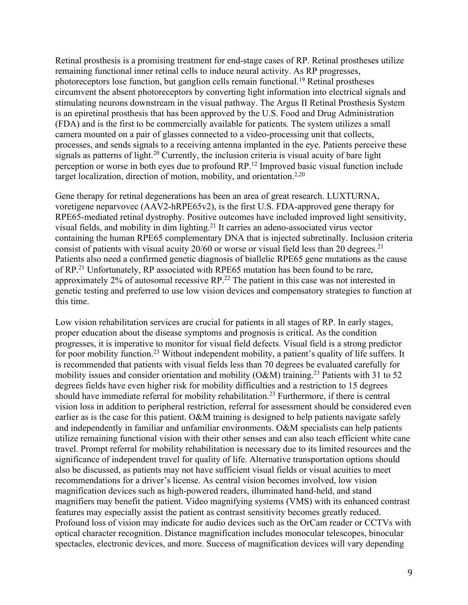Retinal prosthesis is a promising treatment for end-stage cases of RP. Retinal prostheses utilize remaining functional inner retinal cells to induce neural activity. As RP progresses, photoreceptors lose function, but ganglion cells remain functional. <sup>19</sup> Retinal prostheses circumvent the absent photoreceptors by converting light information into electrical signals and stimulating neurons downstream in the visual pathway. The Argus II Retinal Prosthesis System is an epiretinal prosthesis that has been approved by the U.S. Food and Drug Administration (FDA) and is the first to be commercially available for patients. The system utilizes a small camera mounted on a pair of glasses connected to a video-processing unit that collects, processes, and sends signals to a receiving antenna implanted in the eye. Patients perceive these signals as patterns of light.<sup>20</sup> Currently, the inclusion criteria is visual acuity of bare light perception or worse in both eyes due to profound RP.12 Improved basic visual function include target localization, direction of motion, mobility, and orientation.<sup>2,20</sup>

Gene therapy for retinal degenerations has been an area of great research. LUXTURNA, voretigene neparvovec (AAV2-hRPE65v2), is the first U.S. FDA-approved gene therapy for RPE65-mediated retinal dystrophy. Positive outcomes have included improved light sensitivity, visual fields, and mobility in dim lighting.21 It carries an adeno-associated virus vector containing the human RPE65 complementary DNA that is injected subretinally. Inclusion criteria consist of patients with visual acuity  $20/60$  or worse or visual field less than 20 degrees.<sup>21</sup> Patients also need a confirmed genetic diagnosis of biallelic RPE65 gene mutations as the cause of RP.<sup>21</sup> Unfortunately, RP associated with RPE65 mutation has been found to be rare, approximately 2% of autosomal recessive RP.<sup>22</sup> The patient in this case was not interested in genetic testing and preferred to use low vision devices and compensatory strategies to function at this time.

Low vision rehabilitation services are crucial for patients in all stages of RP. In early stages, proper education about the disease symptoms and prognosis is critical. As the condition progresses, it is imperative to monitor for visual field defects. Visual field is a strong predictor for poor mobility function.<sup>23</sup> Without independent mobility, a patient's quality of life suffers. It is recommended that patients with visual fields less than 70 degrees be evaluated carefully for mobility issues and consider orientation and mobility ( $O&M$ ) training.<sup>23</sup> Patients with 31 to 52 degrees fields have even higher risk for mobility difficulties and a restriction to 15 degrees should have immediate referral for mobility rehabilitation.23 Furthermore, if there is central vision loss in addition to peripheral restriction, referral for assessment should be considered even earlier as is the case for this patient. O&M training is designed to help patients navigate safely and independently in familiar and unfamiliar environments. O&M specialists can help patients utilize remaining functional vision with their other senses and can also teach efficient white cane travel. Prompt referral for mobility rehabilitation is necessary due to its limited resources and the significance of independent travel for quality of life. Alternative transportation options should also be discussed, as patients may not have sufficient visual fields or visual acuities to meet recommendations for a driver's license. As central vision becomes involved, low vision magnification devices such as high-powered readers, illuminated hand-held, and stand magnifiers may benefit the patient. Video magnifying systems (VMS) with its enhanced contrast features may especially assist the patient as contrast sensitivity becomes greatly reduced. Profound loss of vision may indicate for audio devices such as the OrCam reader or CCTVs with optical character recognition. Distance magnification includes monocular telescopes, binocular spectacles, electronic devices, and more. Success of magnification devices will vary depending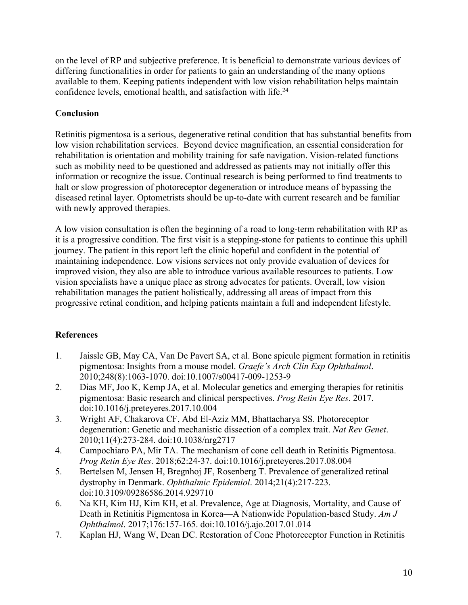on the level of RP and subjective preference. It is beneficial to demonstrate various devices of differing functionalities in order for patients to gain an understanding of the many options available to them. Keeping patients independent with low vision rehabilitation helps maintain confidence levels, emotional health, and satisfaction with life.<sup>24</sup>

## **Conclusion**

Retinitis pigmentosa is a serious, degenerative retinal condition that has substantial benefits from low vision rehabilitation services. Beyond device magnification, an essential consideration for rehabilitation is orientation and mobility training for safe navigation. Vision-related functions such as mobility need to be questioned and addressed as patients may not initially offer this information or recognize the issue. Continual research is being performed to find treatments to halt or slow progression of photoreceptor degeneration or introduce means of bypassing the diseased retinal layer. Optometrists should be up-to-date with current research and be familiar with newly approved therapies.

A low vision consultation is often the beginning of a road to long-term rehabilitation with RP as it is a progressive condition. The first visit is a stepping-stone for patients to continue this uphill journey. The patient in this report left the clinic hopeful and confident in the potential of maintaining independence. Low visions services not only provide evaluation of devices for improved vision, they also are able to introduce various available resources to patients. Low vision specialists have a unique place as strong advocates for patients. Overall, low vision rehabilitation manages the patient holistically, addressing all areas of impact from this progressive retinal condition, and helping patients maintain a full and independent lifestyle.

# **References**

- 1. Jaissle GB, May CA, Van De Pavert SA, et al. Bone spicule pigment formation in retinitis pigmentosa: Insights from a mouse model. *Graefe's Arch Clin Exp Ophthalmol*. 2010;248(8):1063-1070. doi:10.1007/s00417-009-1253-9
- 2. Dias MF, Joo K, Kemp JA, et al. Molecular genetics and emerging therapies for retinitis pigmentosa: Basic research and clinical perspectives. *Prog Retin Eye Res*. 2017. doi:10.1016/j.preteyeres.2017.10.004
- 3. Wright AF, Chakarova CF, Abd El-Aziz MM, Bhattacharya SS. Photoreceptor degeneration: Genetic and mechanistic dissection of a complex trait. *Nat Rev Genet*. 2010;11(4):273-284. doi:10.1038/nrg2717
- 4. Campochiaro PA, Mir TA. The mechanism of cone cell death in Retinitis Pigmentosa. *Prog Retin Eye Res*. 2018;62:24-37. doi:10.1016/j.preteyeres.2017.08.004
- 5. Bertelsen M, Jensen H, Bregnhoj JF, Rosenberg T. Prevalence of generalized retinal dystrophy in Denmark. *Ophthalmic Epidemiol*. 2014;21(4):217-223. doi:10.3109/09286586.2014.929710
- 6. Na KH, Kim HJ, Kim KH, et al. Prevalence, Age at Diagnosis, Mortality, and Cause of Death in Retinitis Pigmentosa in Korea—A Nationwide Population-based Study. *Am J Ophthalmol*. 2017;176:157-165. doi:10.1016/j.ajo.2017.01.014
- 7. Kaplan HJ, Wang W, Dean DC. Restoration of Cone Photoreceptor Function in Retinitis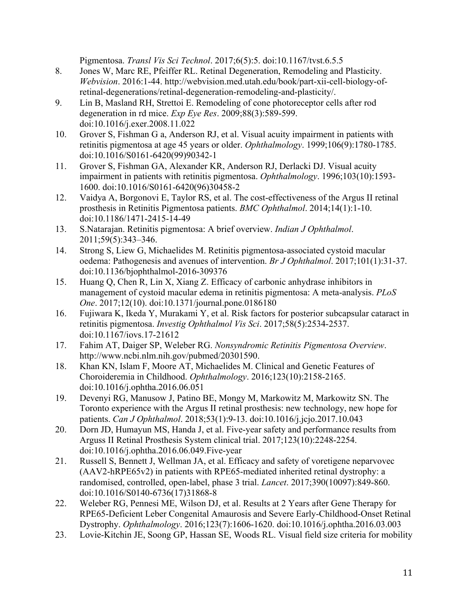Pigmentosa. *Transl Vis Sci Technol*. 2017;6(5):5. doi:10.1167/tvst.6.5.5

- 8. Jones W, Marc RE, Pfeiffer RL. Retinal Degeneration, Remodeling and Plasticity. *Webvision*. 2016:1-44. http://webvision.med.utah.edu/book/part-xii-cell-biology-ofretinal-degenerations/retinal-degeneration-remodeling-and-plasticity/.
- 9. Lin B, Masland RH, Strettoi E. Remodeling of cone photoreceptor cells after rod degeneration in rd mice. *Exp Eye Res*. 2009;88(3):589-599. doi:10.1016/j.exer.2008.11.022
- 10. Grover S, Fishman G a, Anderson RJ, et al. Visual acuity impairment in patients with retinitis pigmentosa at age 45 years or older. *Ophthalmology*. 1999;106(9):1780-1785. doi:10.1016/S0161-6420(99)90342-1
- 11. Grover S, Fishman GA, Alexander KR, Anderson RJ, Derlacki DJ. Visual acuity impairment in patients with retinitis pigmentosa. *Ophthalmology*. 1996;103(10):1593- 1600. doi:10.1016/S0161-6420(96)30458-2
- 12. Vaidya A, Borgonovi E, Taylor RS, et al. The cost-effectiveness of the Argus II retinal prosthesis in Retinitis Pigmentosa patients. *BMC Ophthalmol*. 2014;14(1):1-10. doi:10.1186/1471-2415-14-49
- 13. S.Natarajan. Retinitis pigmentosa: A brief overview. *Indian J Ophthalmol*. 2011;59(5):343–346.
- 14. Strong S, Liew G, Michaelides M. Retinitis pigmentosa-associated cystoid macular oedema: Pathogenesis and avenues of intervention. *Br J Ophthalmol*. 2017;101(1):31-37. doi:10.1136/bjophthalmol-2016-309376
- 15. Huang Q, Chen R, Lin X, Xiang Z. Efficacy of carbonic anhydrase inhibitors in management of cystoid macular edema in retinitis pigmentosa: A meta-analysis. *PLoS One*. 2017;12(10). doi:10.1371/journal.pone.0186180
- 16. Fujiwara K, Ikeda Y, Murakami Y, et al. Risk factors for posterior subcapsular cataract in retinitis pigmentosa. *Investig Ophthalmol Vis Sci*. 2017;58(5):2534-2537. doi:10.1167/iovs.17-21612
- 17. Fahim AT, Daiger SP, Weleber RG. *Nonsyndromic Retinitis Pigmentosa Overview*. http://www.ncbi.nlm.nih.gov/pubmed/20301590.
- 18. Khan KN, Islam F, Moore AT, Michaelides M. Clinical and Genetic Features of Choroideremia in Childhood. *Ophthalmology*. 2016;123(10):2158-2165. doi:10.1016/j.ophtha.2016.06.051
- 19. Devenyi RG, Manusow J, Patino BE, Mongy M, Markowitz M, Markowitz SN. The Toronto experience with the Argus II retinal prosthesis: new technology, new hope for patients. *Can J Ophthalmol*. 2018;53(1):9-13. doi:10.1016/j.jcjo.2017.10.043
- 20. Dorn JD, Humayun MS, Handa J, et al. Five-year safety and performance results from Arguss II Retinal Prosthesis System clinical trial. 2017;123(10):2248-2254. doi:10.1016/j.ophtha.2016.06.049.Five-year
- 21. Russell S, Bennett J, Wellman JA, et al. Efficacy and safety of voretigene neparvovec (AAV2-hRPE65v2) in patients with RPE65-mediated inherited retinal dystrophy: a randomised, controlled, open-label, phase 3 trial. *Lancet*. 2017;390(10097):849-860. doi:10.1016/S0140-6736(17)31868-8
- 22. Weleber RG, Pennesi ME, Wilson DJ, et al. Results at 2 Years after Gene Therapy for RPE65-Deficient Leber Congenital Amaurosis and Severe Early-Childhood-Onset Retinal Dystrophy. *Ophthalmology*. 2016;123(7):1606-1620. doi:10.1016/j.ophtha.2016.03.003
- 23. Lovie-Kitchin JE, Soong GP, Hassan SE, Woods RL. Visual field size criteria for mobility